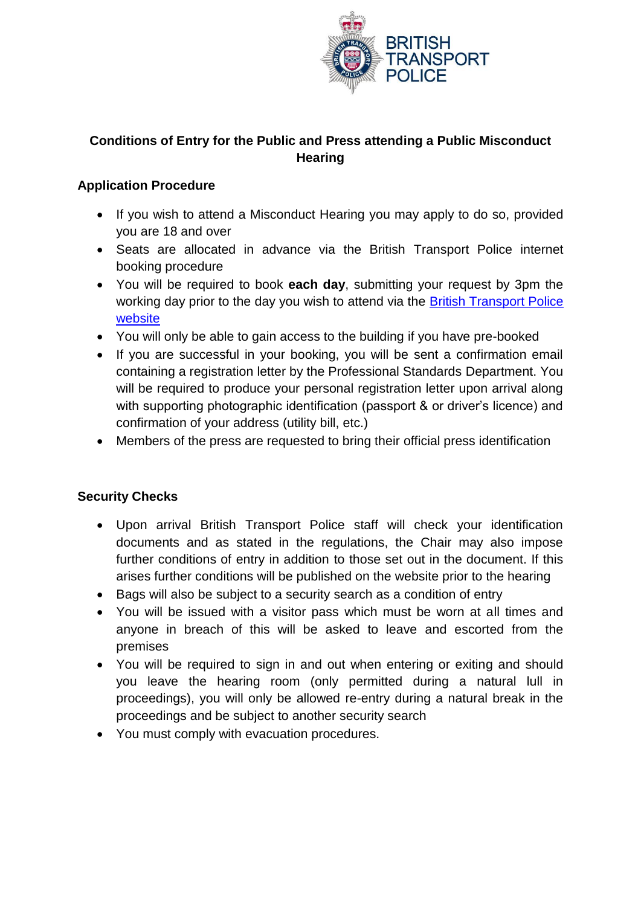

## **Conditions of Entry for the Public and Press attending a Public Misconduct Hearing**

### **Application Procedure**

- If you wish to attend a Misconduct Hearing you may apply to do so, provided you are 18 and over
- Seats are allocated in advance via the British Transport Police internet booking procedure
- You will be required to book **each day**, submitting your request by 3pm the working day prior to the day you wish to attend via the [British Transport Police](http://www.btp.police.uk/advice_and_information/misconduct_hearings.aspx)  [website](http://www.btp.police.uk/advice_and_information/misconduct_hearings.aspx)
- You will only be able to gain access to the building if you have pre-booked
- If you are successful in your booking, you will be sent a confirmation email containing a registration letter by the Professional Standards Department. You will be required to produce your personal registration letter upon arrival along with supporting photographic identification (passport & or driver's licence) and confirmation of your address (utility bill, etc.)
- Members of the press are requested to bring their official press identification

# **Security Checks**

- Upon arrival British Transport Police staff will check your identification documents and as stated in the regulations, the Chair may also impose further conditions of entry in addition to those set out in the document. If this arises further conditions will be published on the website prior to the hearing
- Bags will also be subject to a security search as a condition of entry
- You will be issued with a visitor pass which must be worn at all times and anyone in breach of this will be asked to leave and escorted from the premises
- You will be required to sign in and out when entering or exiting and should you leave the hearing room (only permitted during a natural lull in proceedings), you will only be allowed re-entry during a natural break in the proceedings and be subject to another security search
- You must comply with evacuation procedures.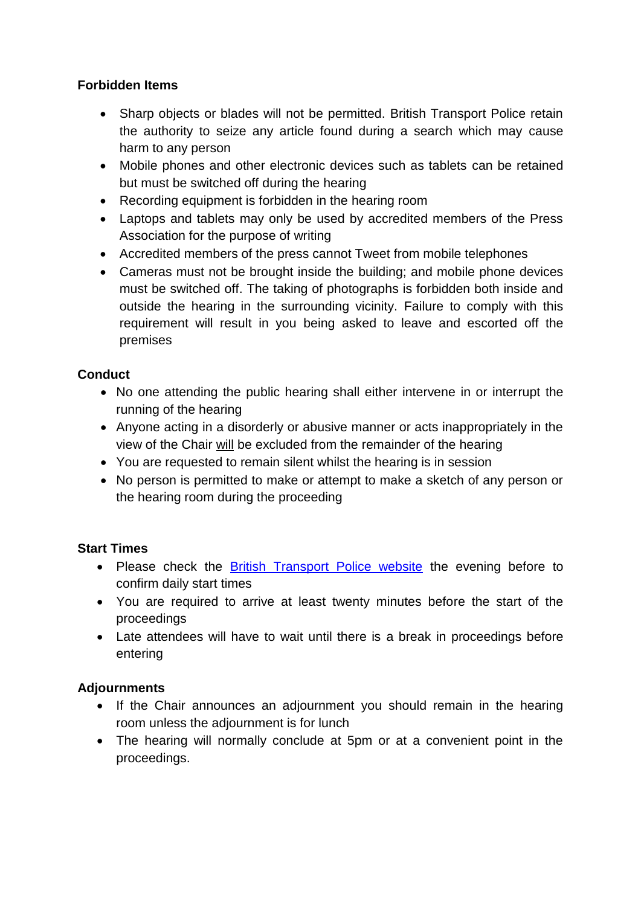### **Forbidden Items**

- Sharp objects or blades will not be permitted. British Transport Police retain the authority to seize any article found during a search which may cause harm to any person
- Mobile phones and other electronic devices such as tablets can be retained but must be switched off during the hearing
- Recording equipment is forbidden in the hearing room
- Laptops and tablets may only be used by accredited members of the Press Association for the purpose of writing
- Accredited members of the press cannot Tweet from mobile telephones
- Cameras must not be brought inside the building; and mobile phone devices must be switched off. The taking of photographs is forbidden both inside and outside the hearing in the surrounding vicinity. Failure to comply with this requirement will result in you being asked to leave and escorted off the premises

## **Conduct**

- No one attending the public hearing shall either intervene in or interrupt the running of the hearing
- Anyone acting in a disorderly or abusive manner or acts inappropriately in the view of the Chair will be excluded from the remainder of the hearing
- You are requested to remain silent whilst the hearing is in session
- No person is permitted to make or attempt to make a sketch of any person or the hearing room during the proceeding

#### **Start Times**

- Please check the **[British Transport Police website](http://www.btp.police.uk/advice_and_information/misconduct_hearings.aspx)** the evening before to confirm daily start times
- You are required to arrive at least twenty minutes before the start of the proceedings
- Late attendees will have to wait until there is a break in proceedings before entering

# **Adjournments**

- If the Chair announces an adjournment you should remain in the hearing room unless the adjournment is for lunch
- The hearing will normally conclude at 5pm or at a convenient point in the proceedings.